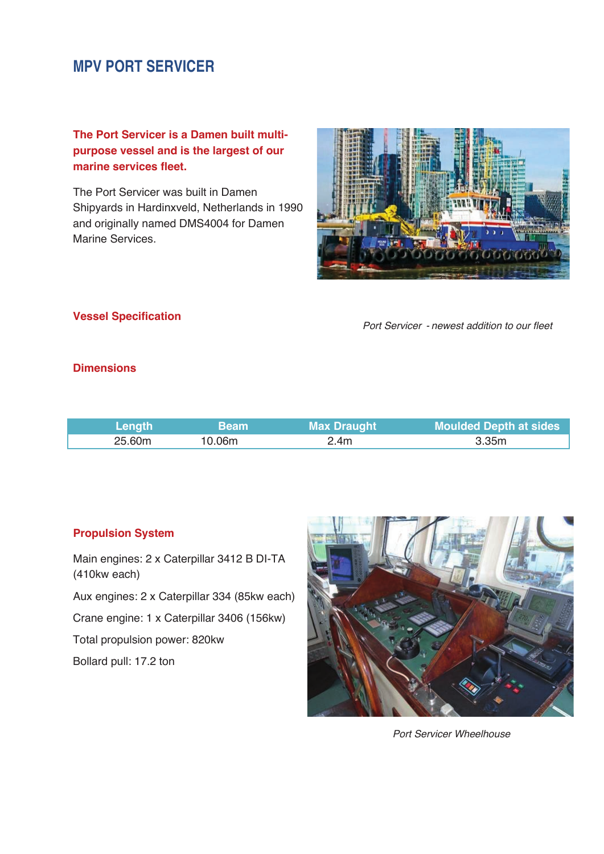# **MPV PORT SERVICER**

## **The Port Servicer is a Damen built multipurpose vessel and is the largest of our marine services fleet.**

The Port Servicer was built in Damen Shipyards in Hardinxveld, Netherlands in 1990 and originally named DMS4004 for Damen Marine Services.



### **Vessel Specification**

*Port Servicer - newest addition to our fleet*

## **Dimensions**

| Length | <b>Beam</b> | <b>Max Draught</b> | <b>Moulded Depth at sides</b> |
|--------|-------------|--------------------|-------------------------------|
| 25.60m | 10.06m      | 2.4m               | 3.35m                         |

### **Propulsion System**

Main engines: 2 x Caterpillar 3412 B DI-TA (410kw each)

Aux engines: 2 x Caterpillar 334 (85kw each)

Crane engine: 1 x Caterpillar 3406 (156kw)

Total propulsion power: 820kw

Bollard pull: 17.2 ton



*Port Servicer Wheelhouse*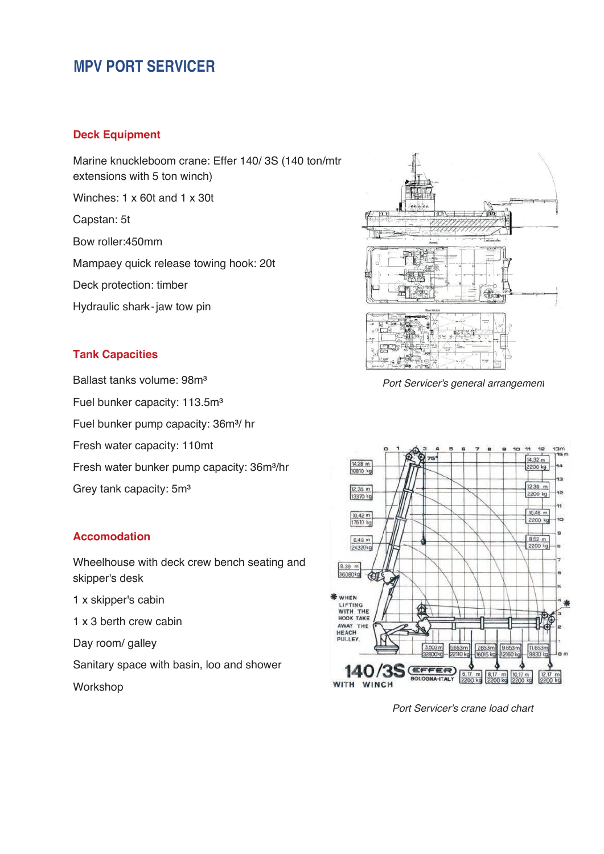# **MPV PORT SERVICER**

#### **Deck Equipment**

Marine knuckleboom crane: Effer 140/3S (140 ton/mtr extensions with 5 ton winch)

Winches: 1 x 60t and 1 x 30t

Capstan: 5t

Bow roller: 450mm

Mampaey quick release towing hook: 20t

Deck protection: timber

Hydraulic shark-jaw tow pin

## **Tank Capacities**

Ballast tanks volume: 98m³

Fuel bunker capacity: 113.5m<sup>3</sup>

Fuel bunker pump capacity: 36m<sup>3</sup>/hr

Fresh water capacity: 110mt

Fresh water bunker pump capacity: 36m<sup>3</sup>/hr

Grey tank capacity: 5m³

### **Accomodation**

Wheelhouse with deck crew bench seating and skipper's desk

- 1 x skipper's cabin
- 1 x 3 berth crew cabin

Day room/ galley

Sanitary space with basin, loo and shower Workshop



*Port Servicer's general arrangement*



*Port Servicer's crane load chart*